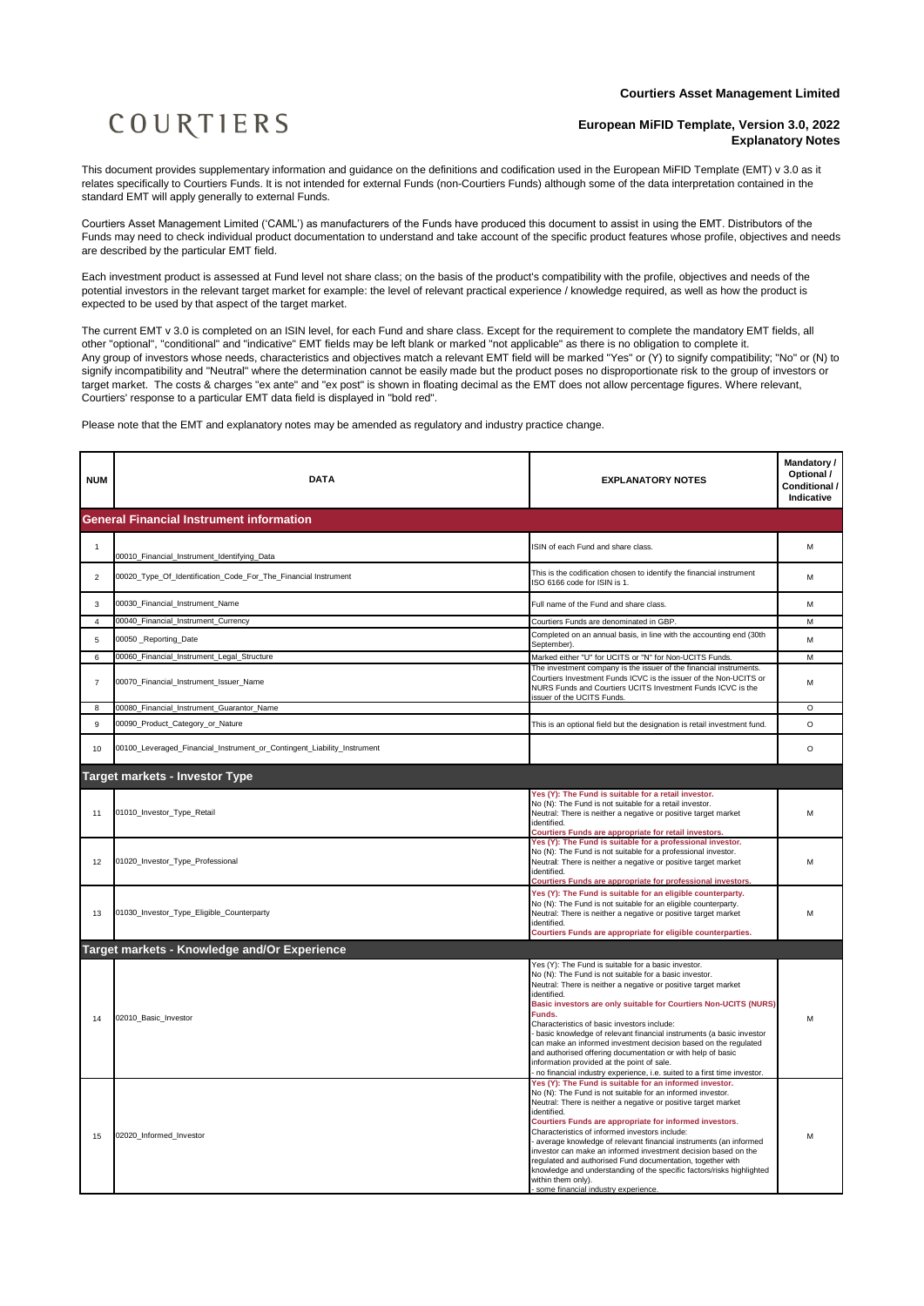## COURTIERS

## **European MiFID Template, Version 3.0, 2022 Explanatory Notes**

This document provides supplementary information and guidance on the definitions and codification used in the European MiFID Template (EMT) v 3.0 as it relates specifically to Courtiers Funds. It is not intended for external Funds (non-Courtiers Funds) although some of the data interpretation contained in the standard EMT will apply generally to external Funds.

Courtiers Asset Management Limited ('CAML') as manufacturers of the Funds have produced this document to assist in using the EMT. Distributors of the Funds may need to check individual product documentation to understand and take account of the specific product features whose profile, objectives and needs are described by the particular EMT field.

Each investment product is assessed at Fund level not share class; on the basis of the product's compatibility with the profile, objectives and needs of the potential investors in the relevant target market for example: the level of relevant practical experience / knowledge required, as well as how the product is expected to be used by that aspect of the target market.

The current EMT v 3.0 is completed on an ISIN level, for each Fund and share class. Except for the requirement to complete the mandatory EMT fields, all other "optional", "conditional" and "indicative" EMT fields may be left blank or marked "not applicable" as there is no obligation to complete it. Any group of investors whose needs, characteristics and objectives match a relevant EMT field will be marked "Yes" or (Y) to signify compatibility; "No" or (N) to signify incompatibility and "Neutral" where the determination cannot be easily made but the product poses no disproportionate risk to the group of investors or target market. The costs & charges "ex ante" and "ex post" is shown in floating decimal as the EMT does not allow percentage figures. Where relevant, Courtiers' response to a particular EMT data field is displayed in "bold red".

Please note that the EMT and explanatory notes may be amended as regulatory and industry practice change.

| <b>NUM</b>     | <b>DATA</b>                                                             | <b>EXPLANATORY NOTES</b>                                                                                                                                                                                                                                                                                                                                                                                                                                                                                                                                                                                                                                          | Mandatory /<br>Optional /<br>Conditional /<br>Indicative |
|----------------|-------------------------------------------------------------------------|-------------------------------------------------------------------------------------------------------------------------------------------------------------------------------------------------------------------------------------------------------------------------------------------------------------------------------------------------------------------------------------------------------------------------------------------------------------------------------------------------------------------------------------------------------------------------------------------------------------------------------------------------------------------|----------------------------------------------------------|
|                | <b>General Financial Instrument information</b>                         |                                                                                                                                                                                                                                                                                                                                                                                                                                                                                                                                                                                                                                                                   |                                                          |
| $\mathbf{1}$   | 00010_Financial_Instrument_Identifying_Data                             | ISIN of each Fund and share class.                                                                                                                                                                                                                                                                                                                                                                                                                                                                                                                                                                                                                                | M                                                        |
| $\overline{c}$ | 00020_Type_Of_Identification_Code_For_The_Financial Instrument          | This is the codification chosen to identify the financial instrument<br>ISO 6166 code for ISIN is 1.                                                                                                                                                                                                                                                                                                                                                                                                                                                                                                                                                              | M                                                        |
| 3              | 00030_Financial_Instrument_Name                                         | Full name of the Fund and share class.                                                                                                                                                                                                                                                                                                                                                                                                                                                                                                                                                                                                                            | M                                                        |
| $\overline{4}$ | 00040_Financial_Instrument_Currency                                     | Courtiers Funds are denominated in GBP.                                                                                                                                                                                                                                                                                                                                                                                                                                                                                                                                                                                                                           | M                                                        |
| 5              | 00050 Reporting Date                                                    | Completed on an annual basis, in line with the accounting end (30th<br>September).                                                                                                                                                                                                                                                                                                                                                                                                                                                                                                                                                                                | M                                                        |
| 6              | 00060_Financial_Instrument_Legal_Structure                              | Marked either "U" for UCITS or "N" for Non-UCITS Funds.                                                                                                                                                                                                                                                                                                                                                                                                                                                                                                                                                                                                           | M                                                        |
| $\overline{7}$ | 00070_Financial_Instrument_Issuer_Name                                  | The investment company is the issuer of the financial instruments.<br>Courtiers Investment Funds ICVC is the issuer of the Non-UCITS or<br>NURS Funds and Courtiers UCITS Investment Funds ICVC is the<br>issuer of the UCITS Funds.                                                                                                                                                                                                                                                                                                                                                                                                                              | M                                                        |
| 8              | 00080_Financial_Instrument_Guarantor_Name                               |                                                                                                                                                                                                                                                                                                                                                                                                                                                                                                                                                                                                                                                                   | $\circ$                                                  |
| 9              | 00090_Product_Category_or_Nature                                        | This is an optional field but the designation is retail investment fund.                                                                                                                                                                                                                                                                                                                                                                                                                                                                                                                                                                                          | $\circ$                                                  |
| 10             | 00100_Leveraged_Financial_Instrument_or_Contingent_Liability_Instrument |                                                                                                                                                                                                                                                                                                                                                                                                                                                                                                                                                                                                                                                                   | $\circ$                                                  |
|                | <b>Target markets - Investor Type</b>                                   |                                                                                                                                                                                                                                                                                                                                                                                                                                                                                                                                                                                                                                                                   |                                                          |
| 11             | 01010_Investor_Type_Retail                                              | Yes (Y): The Fund is suitable for a retail investor.<br>No (N): The Fund is not suitable for a retail investor.<br>Neutral: There is neither a negative or positive target market<br>identified.<br><b>Courtiers Funds are appropriate for retail investors</b>                                                                                                                                                                                                                                                                                                                                                                                                   | M                                                        |
| 12             | 01020_Investor_Type_Professional                                        | Yes (Y): The Fund is suitable for a professional investor.<br>No (N): The Fund is not suitable for a professional investor.<br>Neutral: There is neither a negative or positive target market<br>identified.<br>Courtiers Funds are appropriate for professional investors.                                                                                                                                                                                                                                                                                                                                                                                       | M                                                        |
| 13             | 01030_Investor_Type_Eligible_Counterparty                               | Yes (Y): The Fund is suitable for an eligible counterparty.<br>No (N): The Fund is not suitable for an eligible counterparty.<br>Neutral: There is neither a negative or positive target market<br>identified.<br>Courtiers Funds are appropriate for eligible counterparties.                                                                                                                                                                                                                                                                                                                                                                                    | M                                                        |
|                | Target markets - Knowledge and/Or Experience                            |                                                                                                                                                                                                                                                                                                                                                                                                                                                                                                                                                                                                                                                                   |                                                          |
| 14             | 02010 Basic Investor                                                    | Yes (Y): The Fund is suitable for a basic investor.<br>No (N): The Fund is not suitable for a basic investor.<br>Neutral: There is neither a negative or positive target market<br>identified.<br>Basic investors are only suitable for Courtiers Non-UCITS (NURS)<br>Funds.<br>Characteristics of basic investors include:<br>- basic knowledge of relevant financial instruments (a basic investor<br>can make an informed investment decision based on the regulated<br>and authorised offering documentation or with help of basic<br>information provided at the point of sale.<br>- no financial industry experience, i.e. suited to a first time investor. | м                                                        |
| 15             | 02020_Informed_Investor                                                 | Yes (Y): The Fund is suitable for an informed investor.<br>No (N): The Fund is not suitable for an informed investor.<br>Neutral: There is neither a negative or positive target market<br>identified.<br>Courtiers Funds are appropriate for informed investors.<br>Characteristics of informed investors include:<br>average knowledge of relevant financial instruments (an informed<br>investor can make an informed investment decision based on the<br>regulated and authorised Fund documentation, together with<br>knowledge and understanding of the specific factors/risks highlighted<br>within them only).<br>some financial industry experience.     | М                                                        |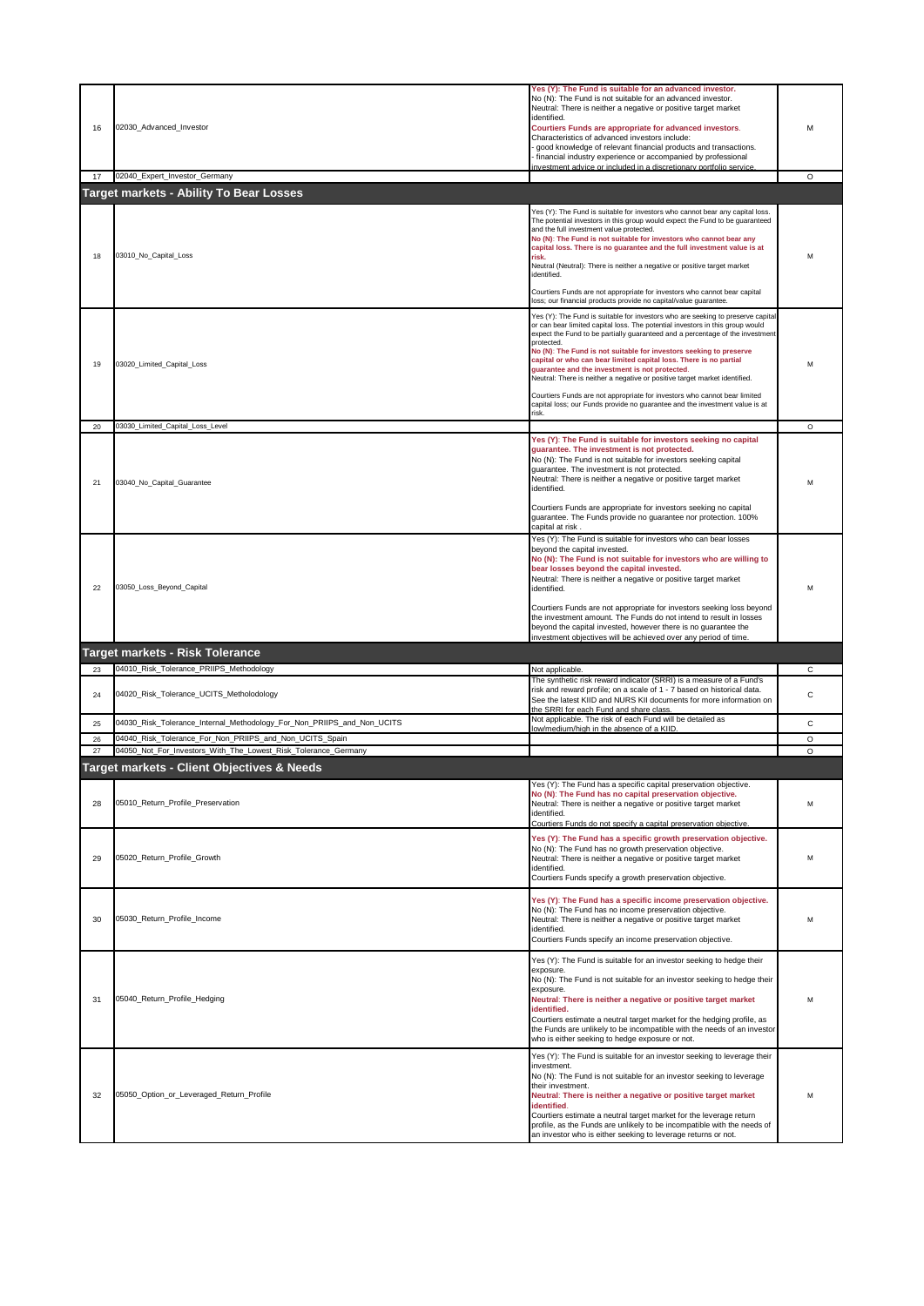| 16 | 02030_Advanced_Investor                                                | Yes (Y): The Fund is suitable for an advanced investor.<br>No (N): The Fund is not suitable for an advanced investor.<br>Neutral: There is neither a negative or positive target market<br>identified.<br>Courtiers Funds are appropriate for advanced investors.<br>Characteristics of advanced investors include:<br>good knowledge of relevant financial products and transactions.<br>financial industry experience or accompanied by professional<br>nvestment advice or included in a discretionary portfolio service                                                                                                                                                                                     | м       |
|----|------------------------------------------------------------------------|-----------------------------------------------------------------------------------------------------------------------------------------------------------------------------------------------------------------------------------------------------------------------------------------------------------------------------------------------------------------------------------------------------------------------------------------------------------------------------------------------------------------------------------------------------------------------------------------------------------------------------------------------------------------------------------------------------------------|---------|
| 17 | 02040_Expert_Investor_Germany                                          |                                                                                                                                                                                                                                                                                                                                                                                                                                                                                                                                                                                                                                                                                                                 | O       |
|    | <b>Target markets - Ability To Bear Losses</b>                         |                                                                                                                                                                                                                                                                                                                                                                                                                                                                                                                                                                                                                                                                                                                 |         |
| 18 | 03010_No_Capital_Loss                                                  | Yes (Y): The Fund is suitable for investors who cannot bear any capital loss.<br>The potential investors in this group would expect the Fund to be guaranteed<br>and the full investment value protected.<br>No (N): The Fund is not suitable for investors who cannot bear any<br>capital loss. There is no guarantee and the full investment value is at<br>risk.<br>Neutral (Neutral): There is neither a negative or positive target market<br>identified.<br>Courtiers Funds are not appropriate for investors who cannot bear capital<br>loss; our financial products provide no capital/value quarantee.                                                                                                 | м       |
| 19 | 03020_Limited_Capital_Loss                                             | Yes (Y): The Fund is suitable for investors who are seeking to preserve capital<br>or can bear limited capital loss. The potential investors in this group would<br>expect the Fund to be partially guaranteed and a percentage of the investment<br>protected.<br>No (N): The Fund is not suitable for investors seeking to preserve<br>capital or who can bear limited capital loss. There is no partial<br>guarantee and the investment is not protected.<br>Neutral: There is neither a negative or positive target market identified.<br>Courtiers Funds are not appropriate for investors who cannot bear limited<br>capital loss; our Funds provide no quarantee and the investment value is at<br>risk. | м       |
| 20 | 03030_Limited_Capital_Loss_Level                                       |                                                                                                                                                                                                                                                                                                                                                                                                                                                                                                                                                                                                                                                                                                                 | $\circ$ |
| 21 | 03040_No_Capital_Guarantee                                             | Yes (Y): The Fund is suitable for investors seeking no capital<br>guarantee. The investment is not protected.<br>No (N): The Fund is not suitable for investors seeking capital<br>quarantee. The investment is not protected.<br>Neutral: There is neither a negative or positive target market<br>identified.<br>Courtiers Funds are appropriate for investors seeking no capital<br>guarantee. The Funds provide no guarantee nor protection. 100%<br>capital at risk.                                                                                                                                                                                                                                       | M       |
| 22 | 03050_Loss_Beyond_Capital                                              | Yes (Y): The Fund is suitable for investors who can bear losses<br>beyond the capital invested.<br>No (N): The Fund is not suitable for investors who are willing to<br>bear losses beyond the capital invested.<br>Neutral: There is neither a negative or positive target market<br>identified.<br>Courtiers Funds are not appropriate for investors seeking loss beyond<br>the investment amount. The Funds do not intend to result in losses<br>beyond the capital invested, however there is no guarantee the<br>investment objectives will be achieved over any period of time.                                                                                                                           | м       |
|    | Target markets - Risk Tolerance                                        |                                                                                                                                                                                                                                                                                                                                                                                                                                                                                                                                                                                                                                                                                                                 |         |
| 23 | 04010_Risk_Tolerance_PRIIPS_Methodology                                | Not applicable.                                                                                                                                                                                                                                                                                                                                                                                                                                                                                                                                                                                                                                                                                                 | С       |
| 24 | 04020_Risk_Tolerance_UCITS_Metholodology                               | The synthetic risk reward indicator (SRRI) is a measure of a Fund's<br>risk and reward profile; on a scale of 1 - 7 based on historical data.<br>See the latest KIID and NURS KII documents for more information on<br>the SRRI for each Fund and share class.                                                                                                                                                                                                                                                                                                                                                                                                                                                  | C       |
| 25 | 04030_Risk_Tolerance_Internal_Methodology_For_Non_PRIIPS_and_Non_UCITS | Not applicable. The risk of each Fund will be detailed as<br>low/medium/high in the absence of a KIID.                                                                                                                                                                                                                                                                                                                                                                                                                                                                                                                                                                                                          | С       |
| 26 | 04040_Risk_Tolerance_For_Non_PRIIPS_and_Non_UCITS_Spain                |                                                                                                                                                                                                                                                                                                                                                                                                                                                                                                                                                                                                                                                                                                                 | O       |
| 27 | 04050_Not_For_Investors_With_The_Lowest_Risk_Tolerance_Germany         |                                                                                                                                                                                                                                                                                                                                                                                                                                                                                                                                                                                                                                                                                                                 | O       |
|    | Target markets - Client Objectives & Needs                             |                                                                                                                                                                                                                                                                                                                                                                                                                                                                                                                                                                                                                                                                                                                 |         |
| 28 | 05010_Return_Profile_Preservation                                      | Yes (Y): The Fund has a specific capital preservation objective.<br>No (N): The Fund has no capital preservation objective.<br>Neutral: There is neither a negative or positive target market<br>identified.<br>Courtiers Funds do not specify a capital preservation objective.                                                                                                                                                                                                                                                                                                                                                                                                                                | M       |
| 29 | 05020_Return_Profile_Growth                                            | Yes (Y): The Fund has a specific growth preservation objective.<br>No (N): The Fund has no growth preservation objective.<br>Neutral: There is neither a negative or positive target market<br>identified.<br>Courtiers Funds specify a growth preservation objective.                                                                                                                                                                                                                                                                                                                                                                                                                                          | M       |
| 30 | 05030 Return Profile Income                                            | Yes (Y): The Fund has a specific income preservation objective.<br>No (N): The Fund has no income preservation objective.<br>Neutral: There is neither a negative or positive target market<br>identified.<br>Courtiers Funds specify an income preservation objective.                                                                                                                                                                                                                                                                                                                                                                                                                                         | M       |
| 31 | 05040_Return_Profile_Hedging                                           | Yes (Y): The Fund is suitable for an investor seeking to hedge their<br>exposure.<br>No (N): The Fund is not suitable for an investor seeking to hedge their<br>exposure.<br>Neutral: There is neither a negative or positive target market<br>identified.<br>Courtiers estimate a neutral target market for the hedging profile, as<br>the Funds are unlikely to be incompatible with the needs of an investor<br>who is either seeking to hedge exposure or not.                                                                                                                                                                                                                                              | м       |
| 32 | 05050_Option_or_Leveraged_Return_Profile                               | Yes (Y): The Fund is suitable for an investor seeking to leverage their<br>investment.<br>No (N): The Fund is not suitable for an investor seeking to leverage<br>their investment.<br>Neutral: There is neither a negative or positive target market<br>identified.<br>Courtiers estimate a neutral target market for the leverage return<br>profile, as the Funds are unlikely to be incompatible with the needs of<br>an investor who is either seeking to leverage returns or not.                                                                                                                                                                                                                          | м       |